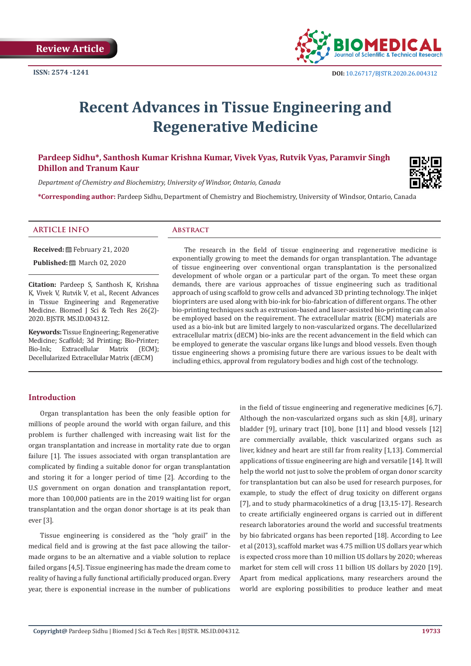

# **Recent Advances in Tissue Engineering and Regenerative Medicine**

# **Pardeep Sidhu\*, Santhosh Kumar Krishna Kumar, Vivek Vyas, Rutvik Vyas, Paramvir Singh Dhillon and Tranum Kaur**

*Department of Chemistry and Biochemistry, University of Windsor, Ontario, Canada*

**\*Corresponding author:** Pardeep Sidhu, Department of Chemistry and Biochemistry, University of Windsor, Ontario, Canada

#### **ARTICLE INFO Abstract**

**Received:** February 21, 2020

**Published:** March 02, 2020

**Citation:** Pardeep S, Santhosh K, Krishna K, Vivek V, Rutvik V, et al., Recent Advances in Tissue Engineering and Regenerative Medicine. Biomed J Sci & Tech Res 26(2)- 2020. BJSTR. MS.ID.004312.

**Keywords:** Tissue Engineering; Regenerative Medicine; Scaffold; 3d Printing; Bio-Printer;<br>Bio-Ink: Extracellular Matrix (ECM): Extracellular Matrix (ECM); Decellularized Extracellular Matrix (dECM)

The research in the field of tissue engineering and regenerative medicine is exponentially growing to meet the demands for organ transplantation. The advantage of tissue engineering over conventional organ transplantation is the personalized development of whole organ or a particular part of the organ. To meet these organ demands, there are various approaches of tissue engineering such as traditional approach of using scaffold to grow cells and advanced 3D printing technology. The inkjet bioprinters are used along with bio-ink for bio-fabrication of different organs. The other bio-printing techniques such as extrusion-based and laser-assisted bio-printing can also be employed based on the requirement. The extracellular matrix (ECM) materials are used as a bio-ink but are limited largely to non-vascularized organs. The decellularized extracellular matrix (dECM) bio-inks are the recent advancement in the field which can be employed to generate the vascular organs like lungs and blood vessels. Even though tissue engineering shows a promising future there are various issues to be dealt with including ethics, approval from regulatory bodies and high cost of the technology.

### **Introduction**

Organ transplantation has been the only feasible option for millions of people around the world with organ failure, and this problem is further challenged with increasing wait list for the organ transplantation and increase in mortality rate due to organ failure [1]. The issues associated with organ transplantation are complicated by finding a suitable donor for organ transplantation and storing it for a longer period of time [2]. According to the U.S government on organ donation and transplantation report, more than 100,000 patients are in the 2019 waiting list for organ transplantation and the organ donor shortage is at its peak than ever [3].

Tissue engineering is considered as the "holy grail" in the medical field and is growing at the fast pace allowing the tailormade organs to be an alternative and a viable solution to replace failed organs [4,5]. Tissue engineering has made the dream come to reality of having a fully functional artificially produced organ. Every year, there is exponential increase in the number of publications in the field of tissue engineering and regenerative medicines [6,7]. Although the non-vascularized organs such as skin [4,8], urinary bladder [9], urinary tract [10], bone [11] and blood vessels [12] are commercially available, thick vascularized organs such as liver, kidney and heart are still far from reality [1,13]. Commercial applications of tissue engineering are high and versatile [14]. It will help the world not just to solve the problem of organ donor scarcity for transplantation but can also be used for research purposes, for example, to study the effect of drug toxicity on different organs [7], and to study pharmacokinetics of a drug [13,15-17]. Research to create artificially engineered organs is carried out in different research laboratories around the world and successful treatments by bio fabricated organs has been reported [18]. According to Lee et al (2013), scaffold market was 4.75 million US dollars year which is expected cross more than 10 million US dollars by 2020; whereas market for stem cell will cross 11 billion US dollars by 2020 [19]. Apart from medical applications, many researchers around the world are exploring possibilities to produce leather and meat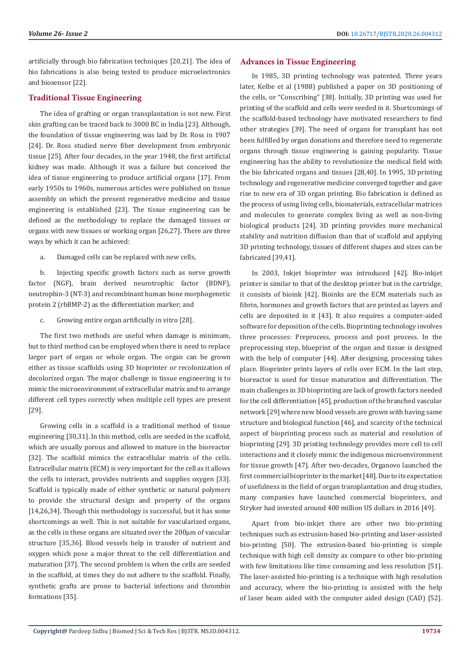artificially through bio fabrication techniques [20,21]. The idea of bio fabrications is also being tested to produce microelectronics and biosensor [22].

### **Traditional Tissue Engineering**

The idea of grafting or organ transplantation is not new. First skin grafting can be traced back to 3000 BC in India [23]. Although, the foundation of tissue engineering was laid by Dr. Ross in 1907 [24]. Dr. Ross studied nerve fiber development from embryonic tissue [25]. After four decades, in the year 1948, the first artificial kidney was made. Although it was a failure but conceived the idea of tissue engineering to produce artificial organs [17]. From early 1950s to 1960s, numerous articles were published on tissue assembly on which the present regenerative medicine and tissue engineering is established [23]. The tissue engineering can be defined as the methodology to replace the damaged tissues or organs with new tissues or working organ [26,27]. There are three ways by which it can be achieved:

a. Damaged cells can be replaced with new cells,

b. Injecting specific growth factors such as nerve growth factor (NGF), brain derived neurotrophic factor (BDNF), neutrophin-3 (NT-3) and recombinant human bone morphogenetic protein 2 (rhBMP-2) as the differentiation marker; and

c. Growing entire organ artificially in vitro [28].

The first two methods are useful when damage is minimum, but to third method can be employed when there is need to replace larger part of organ or whole organ. The organ can be grown either as tissue scaffolds using 3D bioprinter or recolonization of decolorized organ. The major challenge in tissue engineering is to mimic the microenvironment of extracellular matrix and to arrange different cell types correctly when multiple cell types are present [29].

Growing cells in a scaffold is a traditional method of tissue engineering [30,31]. In this method, cells are seeded in the scaffold, which are usually porous and allowed to mature in the bioreactor [32]. The scaffold mimics the extracellular matrix of the cells. Extracellular matrix (ECM) is very important for the cell as it allows the cells to interact, provides nutrients and supplies oxygen [33]. Scaffold is typically made of either synthetic or natural polymers to provide the structural design and property of the organs [14,26,34]. Though this methodology is successful, but it has some shortcomings as well. This is not suitable for vascularized organs, as the cells in these organs are situated over the 200μm of vascular structure [35,36]. Blood vessels help in transfer of nutrient and oxygen which pose a major threat to the cell differentiation and maturation [37]. The second problem is when the cells are seeded in the scaffold, at times they do not adhere to the scaffold. Finally, synthetic grafts are prone to bacterial infections and thrombin formations [35].

#### **Advances in Tissue Engineering**

In 1985, 3D printing technology was patented. Three years later, Kelbe et al (1988) published a paper on 3D positioning of the cells, or "Conscribing" [38]. Initially, 3D printing was used for printing of the scaffold and cells were seeded in it. Shortcomings of the scaffold-based technology have motivated researchers to find other strategies [39]. The need of organs for transplant has not been fulfilled by organ donations and therefore need to regenerate organs through tissue engineering is gaining popularity. Tissue engineering has the ability to revolutionize the medical field with the bio fabricated organs and tissues [28,40]. In 1995, 3D printing technology and regenerative medicine converged together and gave rise to new era of 3D organ printing. Bio fabrication is defined as the process of using living cells, biomaterials, extracellular matrices and molecules to generate complex living as well as non-living biological products [24]. 3D printing provides more mechanical stability and nutrition diffusion than that of scaffold and applying 3D printing technology, tissues of different shapes and sizes can be fabricated [39,41].

In 2003, Inkjet bioprinter was introduced [42]. Bio-inkjet printer is similar to that of the desktop printer but in the cartridge, it consists of bioink [42]. Bioinks are the ECM materials such as fibrin, hormones and growth factors that are printed as layers and cells are deposited in it [43]. It also requires a computer-aided software for deposition of the cells. Bioprinting technology involves three processes: Preprocess, process and post process. In the preprocessing step, blueprint of the organ and tissue is designed with the help of computer [44]. After designing, processing takes place. Bioprinter prints layers of cells over ECM. In the last step, bioreactor is used for tissue maturation and differentiation. The main challenges in 3D bioprinting are lack of growth factors needed for the cell differentiation [45], production of the branched vascular network [29] where new blood vessels are grown with having same structure and biological function [46], and scarcity of the technical aspect of bioprinting process such as material and resolution of bioprinting [29]. 3D printing technology provides more cell to cell interactions and it closely mimic the indigenous microenvironment for tissue growth [47]. After two-decades, Organovo launched the first commercial bioprinter in the market [48]. Due to its expectation of usefulness in the field of organ transplantation and drug studies, many companies have launched commercial bioprinters, and Stryker had invested around 400 million US dollars in 2016 [49].

Apart from bio-inkjet there are other two bio-printing techniques such as extrusion-based bio-printing and laser-assisted bio-printing [50]. The extrusion-based bio-printing is simple technique with high cell density as compare to other bio-printing with few limitations like time consuming and less resolution [51]. The laser-assisted bio-printing is a technique with high resolution and accuracy, where the bio-printing is assisted with the help of laser beam aided with the computer aided design (CAD) [52].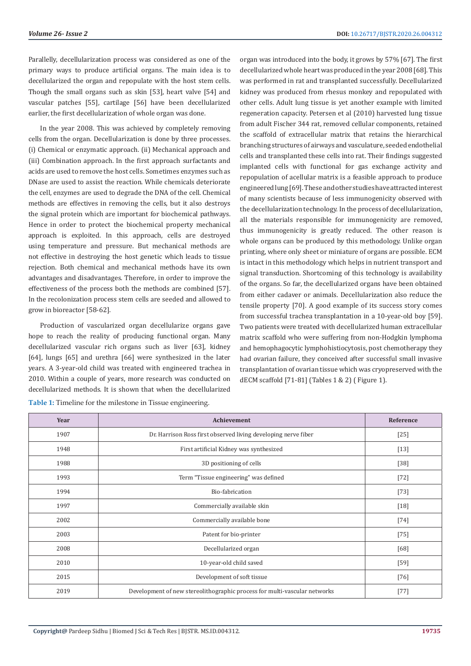Parallelly, decellularization process was considered as one of the primary ways to produce artificial organs. The main idea is to decellularized the organ and repopulate with the host stem cells. Though the small organs such as skin [53], heart valve [54] and vascular patches [55], cartilage [56] have been decellularized earlier, the first decellularization of whole organ was done.

In the year 2008. This was achieved by completely removing cells from the organ. Decellularization is done by three processes. (i) Chemical or enzymatic approach. (ii) Mechanical approach and (iii) Combination approach. In the first approach surfactants and acids are used to remove the host cells. Sometimes enzymes such as DNase are used to assist the reaction. While chemicals deteriorate the cell, enzymes are used to degrade the DNA of the cell. Chemical methods are effectives in removing the cells, but it also destroys the signal protein which are important for biochemical pathways. Hence in order to protect the biochemical property mechanical approach is exploited. In this approach, cells are destroyed using temperature and pressure. But mechanical methods are not effective in destroying the host genetic which leads to tissue rejection. Both chemical and mechanical methods have its own advantages and disadvantages. Therefore, in order to improve the effectiveness of the process both the methods are combined [57]. In the recolonization process stem cells are seeded and allowed to grow in bioreactor [58-62].

Production of vascularized organ decellularize organs gave hope to reach the reality of producing functional organ. Many decellularized vascular rich organs such as liver [63], kidney [64], lungs [65] and urethra [66] were synthesized in the later years. A 3-year-old child was treated with engineered trachea in 2010. Within a couple of years, more research was conducted on decellularized methods. It is shown that when the decellularized

**Table 1:** Timeline for the milestone in Tissue engineering.

organ was introduced into the body, it grows by 57% [67]. The first decellularized whole heart was produced in the year 2008 [68]. This was performed in rat and transplanted successfully. Decellularized kidney was produced from rhesus monkey and repopulated with other cells. Adult lung tissue is yet another example with limited regeneration capacity. Petersen et al (2010) harvested lung tissue from adult Fischer 344 rat, removed cellular components, retained the scaffold of extracellular matrix that retains the hierarchical branching structures of airways and vasculature, seeded endothelial cells and transplanted these cells into rat. Their findings suggested implanted cells with functional for gas exchange activity and repopulation of acellular matrix is a feasible approach to produce engineered lung [69]. These and other studies have attracted interest of many scientists because of less immunogenicity observed with the decellularization technology. In the process of decellularization, all the materials responsible for immunogenicity are removed, thus immunogenicity is greatly reduced. The other reason is whole organs can be produced by this methodology. Unlike organ printing, where only sheet or miniature of organs are possible. ECM is intact in this methodology which helps in nutrient transport and signal transduction. Shortcoming of this technology is availability of the organs. So far, the decellularized organs have been obtained from either cadaver or animals. Decellularization also reduce the tensile property [70]. A good example of its success story comes from successful trachea transplantation in a 10-year-old boy [59]. Two patients were treated with decellularized human extracellular matrix scaffold who were suffering from non-Hodgkin lymphoma and hemophagocytic lymphohistiocytosis, post chemotherapy they had ovarian failure, they conceived after successful small invasive transplantation of ovarian tissue which was cryopreserved with the dECM scaffold [71-81] (Tables 1 & 2) ( Figure 1).

| Year | Achievement                                                               | Reference |
|------|---------------------------------------------------------------------------|-----------|
| 1907 | Dr. Harrison Ross first observed living developing nerve fiber            | $[25]$    |
| 1948 | First artificial Kidney was synthesized                                   | $[13]$    |
| 1988 | 3D positioning of cells                                                   | $[38]$    |
| 1993 | Term "Tissue engineering" was defined                                     | $[72]$    |
| 1994 | Bio-fabrication                                                           | $[73]$    |
| 1997 | Commercially available skin                                               | $[18]$    |
| 2002 | Commercially available bone                                               | $[74]$    |
| 2003 | Patent for bio-printer                                                    | $[75]$    |
| 2008 | Decellularized organ                                                      | [68]      |
| 2010 | 10-year-old child saved                                                   | $[59]$    |
| 2015 | Development of soft tissue                                                | $[76]$    |
| 2019 | Development of new stereolithographic process for multi-vascular networks | $[77]$    |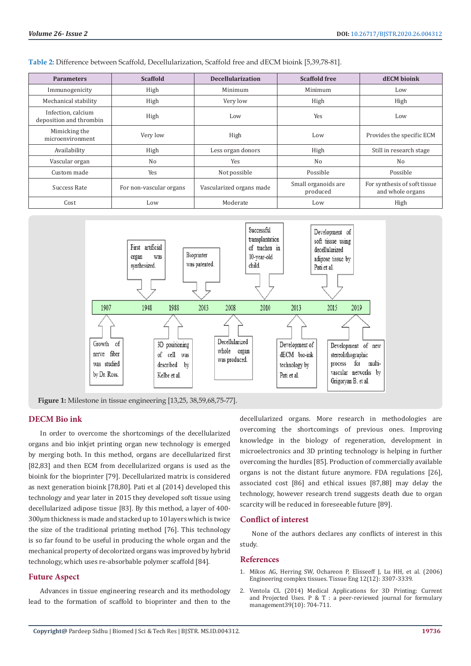**Table 2:** Difference between Scaffold, Decellularization, Scaffold free and dECM bioink [5,39,78-81].

| <b>Parameters</b>                             | <b>Scaffold</b>         | <b>Decellularization</b> | <b>Scaffold free</b>            | <b>dECM</b> bioink                               |
|-----------------------------------------------|-------------------------|--------------------------|---------------------------------|--------------------------------------------------|
| Immunogenicity                                | High                    | Minimum                  | Minimum                         | Low                                              |
| Mechanical stability                          | High                    | Very low                 | High                            | High                                             |
| Infection, calcium<br>deposition and thrombin | High                    | Low                      | Yes                             | Low                                              |
| Mimicking the<br>microenvironment             | Very low                | High                     | Low                             | Provides the specific ECM                        |
| Availability                                  | High                    | Less organ donors        | High                            | Still in research stage                          |
| Vascular organ                                | No                      | Yes                      | No                              | N <sub>0</sub>                                   |
| Custom made                                   | Yes                     | Not possible             | Possible                        | Possible                                         |
| Success Rate                                  | For non-vascular organs | Vascularized organs made | Small organoids are<br>produced | For synthesis of soft tissue<br>and whole organs |
| Cost                                          | Low                     | Moderate                 | Low                             | High                                             |



**Figure 1:** Milestone in tissue engineering [13,25, 38,59,68,75-77].

# **DECM Bio ink**

In order to overcome the shortcomings of the decellularized organs and bio inkjet printing organ new technology is emerged by merging both. In this method, organs are decellularized first [82,83] and then ECM from decellularized organs is used as the bioink for the bioprinter [79]. Decellularized matrix is considered as next generation bioink [78,80]. Pati et al (2014) developed this technology and year later in 2015 they developed soft tissue using decellularized adipose tissue [83]. By this method, a layer of 400- 300μm thickness is made and stacked up to 10 layers which is twice the size of the traditional printing method [76]. This technology is so far found to be useful in producing the whole organ and the mechanical property of decolorized organs was improved by hybrid technology, which uses re-absorbable polymer scaffold [84].

# **Future Aspect**

Advances in tissue engineering research and its methodology lead to the formation of scaffold to bioprinter and then to the decellularized organs. More research in methodologies are overcoming the shortcomings of previous ones. Improving knowledge in the biology of regeneration, development in microelectronics and 3D printing technology is helping in further overcoming the hurdles [85]. Production of commercially available organs is not the distant future anymore. FDA regulations [26], associated cost [86] and ethical issues [87,88] may delay the technology, however research trend suggests death due to organ scarcity will be reduced in foreseeable future [89].

#### **Conflict of interest**

None of the authors declares any conflicts of interest in this study.

#### **References**

- 1. [Mikos AG, Herring SW, Ochareon P, Elisseeff J, Lu HH, et al. \(2006\)](https://www.ncbi.nlm.nih.gov/pubmed/17518671) [Engineering complex tissues. Tissue Eng 12\(12\): 3307-3339.](https://www.ncbi.nlm.nih.gov/pubmed/17518671)
- 2. [Ventola CL \(2014\) Medical Applications for 3D Printing: Current](https://www.ncbi.nlm.nih.gov/pmc/articles/PMC4189697/) [and Projected Uses. P & T : a peer-reviewed journal for formulary](https://www.ncbi.nlm.nih.gov/pmc/articles/PMC4189697/) [management39\(10\): 704-711.](https://www.ncbi.nlm.nih.gov/pmc/articles/PMC4189697/)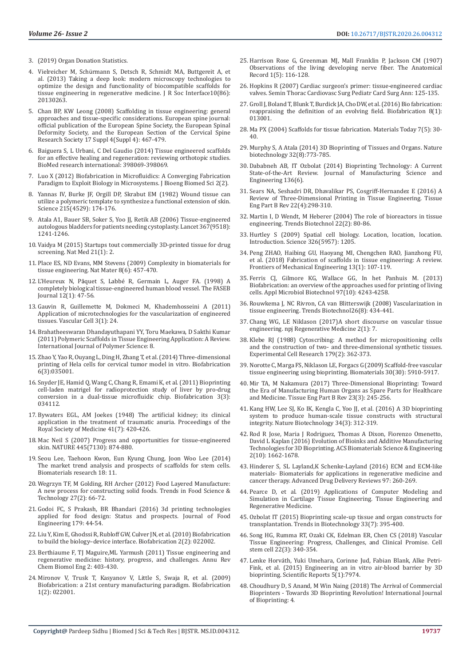- 3. (2019) Organ Donation Statistics.
- 4. Vielreicher M, Schü[rmann S, Detsch R, Schmidt MA, Buttgereit A, et](https://www.ncbi.nlm.nih.gov/pubmed/23864499)  [al. \(2013\) Taking a deep look: modern microscopy technologies to](https://www.ncbi.nlm.nih.gov/pubmed/23864499)  [optimize the design and functionality of biocompatible scaffolds for](https://www.ncbi.nlm.nih.gov/pubmed/23864499)  [tissue engineering in regenerative medicine. J R Soc Interface10\(86\):](https://www.ncbi.nlm.nih.gov/pubmed/23864499)  [20130263.](https://www.ncbi.nlm.nih.gov/pubmed/23864499)
- 5. [Chan BP, KW Leong \(2008\) Scaffolding in tissue engineering: general](https://www.ncbi.nlm.nih.gov/pmc/articles/PMC2587658/)  [approaches and tissue-specific considerations. European spine journal:](https://www.ncbi.nlm.nih.gov/pmc/articles/PMC2587658/)  [official publication of the European Spine Society, the European Spinal](https://www.ncbi.nlm.nih.gov/pmc/articles/PMC2587658/)  [Deformity Society, and the European Section of the Cervical Spine](https://www.ncbi.nlm.nih.gov/pmc/articles/PMC2587658/)  [Research Society 17 Suppl 4\(Suppl 4\): 467-479.](https://www.ncbi.nlm.nih.gov/pmc/articles/PMC2587658/)
- 6. Baiguera S, L Urbani, C Del Gaudio (2014) Tissue engineered scaffolds for an effective healing and regeneration: reviewing orthotopic studies. BioMed research international: 398069-398069.
- 7. [Luo X \(2012\) Biofabrication in Microfluidics: A Converging Fabrication](file:///E:/Biomed%20PDF/02-03-2019/BJSTR.MS.ID.004312/BJSTR-SPT-20-RW-219_W/7.%09Luo%20X%20(2012)%20Biofabrication%20in%20Microfluidics:%20A%20Converging%20Fabrication%20Paradigm%20to%20Exploit%20Biology%20in%20Microsystems.%20J%20Bioeng%20Biomed%20Sci%202(2).)  [Paradigm to Exploit Biology in Microsystems. J Bioeng Biomed Sci 2\(2\).](file:///E:/Biomed%20PDF/02-03-2019/BJSTR.MS.ID.004312/BJSTR-SPT-20-RW-219_W/7.%09Luo%20X%20(2012)%20Biofabrication%20in%20Microfluidics:%20A%20Converging%20Fabrication%20Paradigm%20to%20Exploit%20Biology%20in%20Microsystems.%20J%20Bioeng%20Biomed%20Sci%202(2).)
- 8. [Yannas IV, Burke JF, Orgill DP, Skrabut EM \(1982\) Wound tissue can](file:///E:/Biomed%20PDF/02-03-2019/BJSTR.MS.ID.004312/BJSTR-SPT-20-RW-219_W/8.%09Yannas%20IV,%20Burke%20JF,%20Orgill%20DP,%20Skrabut%20EM%20(1982)%20Wound%20tissue%20can%20utilize%20a%20polymeric%20template%20to%20synthesize%20a%20functional%20extension%20of%20skin.%20Science%20215(4529):%20174-176.)  [utilize a polymeric template to synthesize a functional extension of skin.](file:///E:/Biomed%20PDF/02-03-2019/BJSTR.MS.ID.004312/BJSTR-SPT-20-RW-219_W/8.%09Yannas%20IV,%20Burke%20JF,%20Orgill%20DP,%20Skrabut%20EM%20(1982)%20Wound%20tissue%20can%20utilize%20a%20polymeric%20template%20to%20synthesize%20a%20functional%20extension%20of%20skin.%20Science%20215(4529):%20174-176.)  [Science 215\(4529\): 174-176.](file:///E:/Biomed%20PDF/02-03-2019/BJSTR.MS.ID.004312/BJSTR-SPT-20-RW-219_W/8.%09Yannas%20IV,%20Burke%20JF,%20Orgill%20DP,%20Skrabut%20EM%20(1982)%20Wound%20tissue%20can%20utilize%20a%20polymeric%20template%20to%20synthesize%20a%20functional%20extension%20of%20skin.%20Science%20215(4529):%20174-176.)
- 9. [Atala A1, Bauer SB, Soker S, Yoo JJ, Retik AB \(2006\) Tissue-engineered](file:///E:/Biomed%20PDF/02-03-2019/BJSTR.MS.ID.004312/BJSTR-SPT-20-RW-219_W/9.%09Atala%20A1,%20Bauer%20SB,%20Soker%20S,%20Yoo%20JJ,%20Retik%20AB%20(2006)%20Tissue-engineered%20autologous%20bladders%20for%20patients%20needing%20cystoplasty.%20Lancet%20367(9518):%201241-1246.)  [autologous bladders for patients needing cystoplasty. Lancet 367\(9518\):](file:///E:/Biomed%20PDF/02-03-2019/BJSTR.MS.ID.004312/BJSTR-SPT-20-RW-219_W/9.%09Atala%20A1,%20Bauer%20SB,%20Soker%20S,%20Yoo%20JJ,%20Retik%20AB%20(2006)%20Tissue-engineered%20autologous%20bladders%20for%20patients%20needing%20cystoplasty.%20Lancet%20367(9518):%201241-1246.)  [1241-1246.](file:///E:/Biomed%20PDF/02-03-2019/BJSTR.MS.ID.004312/BJSTR-SPT-20-RW-219_W/9.%09Atala%20A1,%20Bauer%20SB,%20Soker%20S,%20Yoo%20JJ,%20Retik%20AB%20(2006)%20Tissue-engineered%20autologous%20bladders%20for%20patients%20needing%20cystoplasty.%20Lancet%20367(9518):%201241-1246.)
- 10. [Vaidya M \(2015\) Startups tout commercially 3D-printed tissue for drug](file:///E:/Biomed%20PDF/02-03-2019/BJSTR.MS.ID.004312/BJSTR-SPT-20-RW-219_W/10.%09Vaidya%20M%20(2015)%20Startups%20tout%20commercially%203D-printed%20tissue%20for%20drug%20screening.%20Nat%20Med%2021(1):%202.)  [screening. Nat Med 21\(1\): 2.](file:///E:/Biomed%20PDF/02-03-2019/BJSTR.MS.ID.004312/BJSTR-SPT-20-RW-219_W/10.%09Vaidya%20M%20(2015)%20Startups%20tout%20commercially%203D-printed%20tissue%20for%20drug%20screening.%20Nat%20Med%2021(1):%202.)
- 11. [Place ES, ND Evans, MM Stevens \(2009\) Complexity in biomaterials for](file:///E:/Biomed%20PDF/02-03-2019/BJSTR.MS.ID.004312/BJSTR-SPT-20-RW-219_W/11.%09Place%20ES,%20ND%20Evans,%20MM%20Stevens%20(2009)%20Complexity%20in%20biomaterials%20for%20tissue%20engineering.%20Nat%20Mater%208(6):%20457-70.)  [tissue engineering. Nat Mater 8\(6\): 457-470.](file:///E:/Biomed%20PDF/02-03-2019/BJSTR.MS.ID.004312/BJSTR-SPT-20-RW-219_W/11.%09Place%20ES,%20ND%20Evans,%20MM%20Stevens%20(2009)%20Complexity%20in%20biomaterials%20for%20tissue%20engineering.%20Nat%20Mater%208(6):%20457-70.)
- 12. L'Heureux N, Pâ[quet S, Labbé R, Germain L, Auger FA. \(1998\) A](https://www.ncbi.nlm.nih.gov/pubmed/9438410)  [completely biological tissue-engineered human blood vessel. The FASEB](https://www.ncbi.nlm.nih.gov/pubmed/9438410)  [Journal 12\(1\): 47-56.](https://www.ncbi.nlm.nih.gov/pubmed/9438410)
- 13. [Gauvin R, Guillemette M, Dokmeci M, Khademhosseini A \(2011\)](https://www.ncbi.nlm.nih.gov/pubmed/22040627)  [Application of microtechnologies for the vascularization of engineered](https://www.ncbi.nlm.nih.gov/pubmed/22040627)  [tissues. Vascular Cell 3\(1\): 24.](https://www.ncbi.nlm.nih.gov/pubmed/22040627)
- 14. [Brahatheeswaran Dhandayuthapani YY, Toru Maekawa, D Sakthi Kumar](https://www.hindawi.com/journals/ijps/2011/290602/)  [\(2011\) Polymeric Scaffolds in Tissue Engineering Application: A Review.](https://www.hindawi.com/journals/ijps/2011/290602/)  [International Journal of Polymer Science: 8.](https://www.hindawi.com/journals/ijps/2011/290602/)
- 15. [Zhao Y, Yao R, Ouyang L, Ding H, Zhang T, et al. \(2014\) Three-dimensional](https://www.ncbi.nlm.nih.gov/pubmed/24722236)  [printing of Hela cells for cervical tumor model in vitro. Biofabrication](https://www.ncbi.nlm.nih.gov/pubmed/24722236)  [6\(3\):035001.](https://www.ncbi.nlm.nih.gov/pubmed/24722236)
- 16. [Snyder JE, Hamid Q, Wang C, Chang R, Emami K, et al. \(2011\) Bioprinting](https://www.ncbi.nlm.nih.gov/pubmed/21881168)  [cell-laden matrigel for radioprotection study of liver by pro-drug](https://www.ncbi.nlm.nih.gov/pubmed/21881168)  [conversion in a dual-tissue microfluidic chip. Biofabrication 3\(3\):](https://www.ncbi.nlm.nih.gov/pubmed/21881168)  [034112.](https://www.ncbi.nlm.nih.gov/pubmed/21881168)
- 17. [Bywaters EGL, AM Joekes \(1948\) The artificial kidney; its clinical](https://www.ncbi.nlm.nih.gov/pmc/articles/PMC2184532/)  [application in the treatment of traumatic anuria. Proceedings of the](https://www.ncbi.nlm.nih.gov/pmc/articles/PMC2184532/)  [Royal Society of Medicine 41\(7\): 420-426.](https://www.ncbi.nlm.nih.gov/pmc/articles/PMC2184532/)
- 18. [Mac Neil S \(2007\) Progress and opportunities for tissue-engineered](https://www.ncbi.nlm.nih.gov/pubmed/17314974)  [skin. NATURE 445\(7130\): 874-880.](https://www.ncbi.nlm.nih.gov/pubmed/17314974)
- 19. [Seou Lee, Taehoon Kwon, Eun Kyung Chung, Joon Woo Lee \(2014\)](https://www.ncbi.nlm.nih.gov/pmc/articles/PMC4552262/) [The market trend analysis and prospects of scaffolds for stem cells.](https://www.ncbi.nlm.nih.gov/pmc/articles/PMC4552262/)  [Biomaterials research 18: 11.](https://www.ncbi.nlm.nih.gov/pmc/articles/PMC4552262/)
- 20. [Wegrzyn TF, M Golding, RH Archer \(2012\) Food Layered Manufacture:](https://www.deepdyve.com/lp/elsevier/food-layered-manufacture-a-new-process-for-constructing-solid-foods-B6KqwoKatr)  [A new process for constructing solid foods. Trends in Food Science &](https://www.deepdyve.com/lp/elsevier/food-layered-manufacture-a-new-process-for-constructing-solid-foods-B6KqwoKatr)  [Technology 27\(2\): 66-72.](https://www.deepdyve.com/lp/elsevier/food-layered-manufacture-a-new-process-for-constructing-solid-foods-B6KqwoKatr)
- 21. Godoi FC, S Prakash, BR Bhandari (2016) 3d printing technologies applied for food design: Status and prospects. Journal of Food Engineering 179: 44-54.
- 22. [Liu Y, Kim E, Ghodssi R, Rubloff GW, Culver JN, et al. \(2010\) Biofabrication](https://www.ncbi.nlm.nih.gov/pubmed/20811128)  [to build the biology–device interface. Biofabrication 2\(2\): 022002.](https://www.ncbi.nlm.nih.gov/pubmed/20811128)
- 23. [Berthiaume F, TJ Maguire,ML Yarmush \(2011\) Tissue engineering and](https://www.ncbi.nlm.nih.gov/pubmed/22432625)  [regenerative medicine: history, progress, and challenges. Annu Rev](https://www.ncbi.nlm.nih.gov/pubmed/22432625)  [Chem Biomol Eng 2: 403-430.](https://www.ncbi.nlm.nih.gov/pubmed/22432625)
- 24. [Mironov V, Trusk T, Kasyanov V, Little S, Swaja R, et al. \(2009\)](https://www.ncbi.nlm.nih.gov/pubmed/20811099)  [Biofabrication: a 21st century manufacturing paradigm. Biofabrication](https://www.ncbi.nlm.nih.gov/pubmed/20811099)  [1\(2\): 022001.](https://www.ncbi.nlm.nih.gov/pubmed/20811099)
- 25. Harrison Rose G, Greenman MJ, Mall Franklin P, Jackson CM (1907) Observations of the living developing nerve fiber. The Anatomical Record 1(5): 116-128.
- 26. [Hopkins R \(2007\) Cardiac surgeon's primer: tissue-engineered cardiac](https://www.ncbi.nlm.nih.gov/pubmed/17434004) [valves. Semin Thorac Cardiovasc Surg Pediatr Card Surg Ann: 125-135.](https://www.ncbi.nlm.nih.gov/pubmed/17434004)
- 27. [Groll J, Boland T, Blunk T, Burdick JA, Cho DW, et al. \(2016\) Bio fabrication:](https://www.ncbi.nlm.nih.gov/pubmed/26744832) [reappraising the definition of an evolving field. Biofabrication 8\(1\):](https://www.ncbi.nlm.nih.gov/pubmed/26744832) [013001.](https://www.ncbi.nlm.nih.gov/pubmed/26744832)
- 28. Ma PX (2004) Scaffolds for tissue fabrication. Materials Today 7(5): 30- 40.
- 29. [Murphy S, A Atala \(2014\) 3D Bioprinting of Tissues and Organs. Nature](https://www.ncbi.nlm.nih.gov/pubmed/25093879) [biotechnology 32\(8\):773-785.](https://www.ncbi.nlm.nih.gov/pubmed/25093879)
- 30. [Dababneh AB, IT Ozbolat \(2014\) Bioprinting Technology: A Current](https://pennstate.pure.elsevier.com/en/publications/bioprinting-technology-a-current-state-of-the-art-review) [State-of-the-Art Review. Journal of Manufacturing Science and](https://pennstate.pure.elsevier.com/en/publications/bioprinting-technology-a-current-state-of-the-art-review) [Engineering 136\(6\).](https://pennstate.pure.elsevier.com/en/publications/bioprinting-technology-a-current-state-of-the-art-review)
- 31. [Sears NA, Seshadri DR, Dhavalikar PS, Cosgriff-Hernandez E \(2016\) A](https://www.ncbi.nlm.nih.gov/pubmed/26857350) [Review of Three-Dimensional Printing in Tissue Engineering. Tissue](https://www.ncbi.nlm.nih.gov/pubmed/26857350) [Eng Part B Rev 22\(4\):298-310.](https://www.ncbi.nlm.nih.gov/pubmed/26857350)
- 32. [Martin I, D Wendt, M Heberer \(2004\) The role of bioreactors in tissue](https://www.ncbi.nlm.nih.gov/pubmed/14757042) [engineering. Trends Biotechnol 22\(2\): 80-86.](https://www.ncbi.nlm.nih.gov/pubmed/14757042)
- 33. [Hurtley S \(2009\) Spatial cell biology. Location, location, location.](https://www.ncbi.nlm.nih.gov/pubmed/19965460) [Introduction. Science 326\(5957\): 1205.](https://www.ncbi.nlm.nih.gov/pubmed/19965460)
- 34. [Peng ZHAO, Haibing GU, Haoyang MI, Chengchen RAO, Jianzhong FU,](http://journal.hep.com.cn/fme/EN/abstract/abstract21205.shtml) [et al. \(2018\) Fabrication of scaffolds in tissue engineering: A review.](http://journal.hep.com.cn/fme/EN/abstract/abstract21205.shtml) [Frontiers of Mechanical Engineering 13\(1\): 107-119.](http://journal.hep.com.cn/fme/EN/abstract/abstract21205.shtml)
- 35. [Ferris CJ, Gilmore KG, Wallace GG, In het Panhuis M. \(2013\)](https://www.ncbi.nlm.nih.gov/pubmed/23525900) [Biofabrication: an overview of the approaches used for printing of living](https://www.ncbi.nlm.nih.gov/pubmed/23525900) [cells. Appl Microbiol Biotechnol 97\(10\): 4243-4258.](https://www.ncbi.nlm.nih.gov/pubmed/23525900)
- 36. [Rouwkema J, NC Rivron, CA van Blitterswijk \(2008\) Vascularization in](https://www.ncbi.nlm.nih.gov/pubmed/18585808) [tissue engineering. Trends Biotechnol26\(8\): 434-441.](https://www.ncbi.nlm.nih.gov/pubmed/18585808)
- 37. [Chang WG, LE Niklason \(2017\)A short discourse on vascular tissue](https://www.nature.com/articles/s41536-017-0011-6) [engineering. npj Regenerative Medicine 2\(1\): 7.](https://www.nature.com/articles/s41536-017-0011-6)
- 38. [Klebe RJ \(1988\) Cytoscribing: A method for micropositioning cells](https://www.ncbi.nlm.nih.gov/pubmed/3191947) [and the construction of two- and three-dimensional synthetic tissues.](https://www.ncbi.nlm.nih.gov/pubmed/3191947) [Experimental Cell Research 179\(2\): 362-373.](https://www.ncbi.nlm.nih.gov/pubmed/3191947)
- 39. [Norotte C, Marga FS, Niklason LE, Forgacs G \(2009\) Scaffold-free vascular](https://www.ncbi.nlm.nih.gov/pubmed/19664819) [tissue engineering using bioprinting. Biomaterials 30\(30\): 5910-5917.](https://www.ncbi.nlm.nih.gov/pubmed/19664819)
- 40. [Mir TA, M Nakamura \(2017\) Three-Dimensional Bioprinting: Toward](https://www.ncbi.nlm.nih.gov/pubmed/28103751) [the Era of Manufacturing Human Organs as Spare Parts for Healthcare](https://www.ncbi.nlm.nih.gov/pubmed/28103751) [and Medicine. Tissue Eng Part B Rev 23\(3\): 245-256.](https://www.ncbi.nlm.nih.gov/pubmed/28103751)
- 41. [Kang HW, Lee SJ, Ko IK, Kengla C, Yoo JJ, et al. \(2016\) A 3D bioprinting](https://www.ncbi.nlm.nih.gov/pubmed/26878319) [system to produce human-scale tissue constructs with structural](https://www.ncbi.nlm.nih.gov/pubmed/26878319) [integrity. Nature Biotechnology 34\(3\): 312-319.](https://www.ncbi.nlm.nih.gov/pubmed/26878319)
- 42. [Rod R Jose, Maria J Rodriguez, Thomas A Dixon, Fiorenzo Omenetto,](https://pubs.acs.org/doi/abs/10.1021/acsbiomaterials.6b00088) [David L Kaplan \(2016\) Evolution of Bioinks and Additive Manufacturing](https://pubs.acs.org/doi/abs/10.1021/acsbiomaterials.6b00088) [Technologies for 3D Bioprinting. ACS Biomaterials Science & Engineering](https://pubs.acs.org/doi/abs/10.1021/acsbiomaterials.6b00088) [2\(10\): 1662-1678.](https://pubs.acs.org/doi/abs/10.1021/acsbiomaterials.6b00088)
- 43. [Hinderer S, SL Layland,K Schenke-Layland \(2016\) ECM and ECM-like](https://www.ncbi.nlm.nih.gov/pubmed/26658243) [materials- Biomaterials for applications in regenerative medicine and](https://www.ncbi.nlm.nih.gov/pubmed/26658243) [cancer therapy. Advanced Drug Delivery Reviews 97: 260-269.](https://www.ncbi.nlm.nih.gov/pubmed/26658243)
- 44. Pearce D, et al. (2019) Applications of Computer Modeling and Simulation in Cartilage Tissue Engineering. Tissue Engineering and Regenerative Medicine.
- 45. [Ozbolat IT \(2015\) Bioprinting scale-up tissue and organ constructs for](https://www.ncbi.nlm.nih.gov/pubmed/25978871) [transplantation. Trends in Biotechnology 33\(7\): 395-400.](https://www.ncbi.nlm.nih.gov/pubmed/25978871)
- 46. [Song HG, Rumma RT, Ozaki CK, Edelman ER, Chen CS \(2018\) Vascular](https://www.ncbi.nlm.nih.gov/pubmed/29499152) [Tissue Engineering: Progress, Challenges, and Clinical Promise. Cell](https://www.ncbi.nlm.nih.gov/pubmed/29499152) [stem cell 22\(3\): 340-354.](https://www.ncbi.nlm.nih.gov/pubmed/29499152)
- 47. [Lenke Horváth, Yuki Umehara, Corinne Jud, Fabian Blank, Alke Petri-](https://www.nature.com/articles/srep07974)[Fink, et al. \(2015\) Engineering an in vitro air-blood barrier by 3D](https://www.nature.com/articles/srep07974) [bioprinting. Scientific Reports 5\(1\):7974.](https://www.nature.com/articles/srep07974)
- 48. [Choudhury D, S Anand, M Win Naing \(2018\) The Arrival of Commercial](https://www.researchgate.net/publication/325816682_The_Arrival_of_Commercial_Bioprinters_-_Towards_3D_Bioprinting_Revolution) [Bioprinters - Towards 3D Bioprinting Revolution! International Journal](https://www.researchgate.net/publication/325816682_The_Arrival_of_Commercial_Bioprinters_-_Towards_3D_Bioprinting_Revolution) [of Bioprinting: 4.](https://www.researchgate.net/publication/325816682_The_Arrival_of_Commercial_Bioprinters_-_Towards_3D_Bioprinting_Revolution)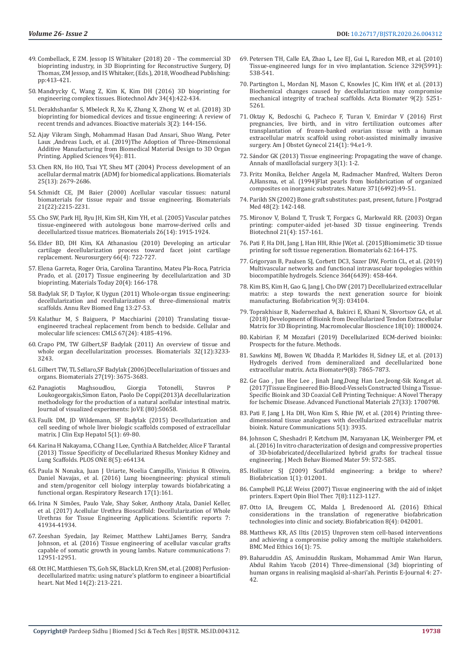- 49. Combellack, E ZM. Jessop IS Whitaker (2018) 20 The commercial 3D bioprinting industry, in 3D Bioprinting for Reconstructive Surgery, DJ Thomas, ZM Jessop, and IS Whitaker, (Eds.), 2018, Woodhead Publishing: pp:413-421.
- 50. [Mandrycky C, Wang Z, Kim K, Kim DH \(2016\) 3D bioprinting for](https://www.ncbi.nlm.nih.gov/pubmed/26724184)  [engineering complex tissues. Biotechnol Adv 34\(4\):422-434.](https://www.ncbi.nlm.nih.gov/pubmed/26724184)
- 51. [Derakhshanfar S, Mbeleck R, Xu K, Zhang X, Zhong W, et al. \(2018\) 3D](https://www.ncbi.nlm.nih.gov/pubmed/29744452)  [bioprinting for biomedical devices and tissue engineering: A review of](https://www.ncbi.nlm.nih.gov/pubmed/29744452)  [recent trends and advances. Bioactive materials 3\(2\): 144-156.](https://www.ncbi.nlm.nih.gov/pubmed/29744452)
- 52. [Ajay Vikram Singh, Mohammad Hasan Dad Ansari, Shuo Wang, Peter](https://www.mdpi.com/2076-3417/9/4/811)  [Laux ,Andreas Luch, et al. \(2019\)The Adoption of Three-Dimensional](https://www.mdpi.com/2076-3417/9/4/811)  [Additive Manufacturing from Biomedical Material Design to 3D Organ](https://www.mdpi.com/2076-3417/9/4/811)  [Printing. Applied Sciences 9\(4\): 811.](https://www.mdpi.com/2076-3417/9/4/811)
- 53. [Chen RN, Ho HO, Tsai YT, Sheu MT \(2004\) Process development of an](https://www.ncbi.nlm.nih.gov/pubmed/14751754)  [acellular dermal matrix \(ADM\) for biomedical applications. Biomaterials](https://www.ncbi.nlm.nih.gov/pubmed/14751754)  [25\(13\): 2679-2686.](https://www.ncbi.nlm.nih.gov/pubmed/14751754)
- 54. [Schmidt CE, JM Baier \(2000\) Acellular vascular tissues: natural](https://www.ncbi.nlm.nih.gov/pubmed/11026628)  [biomaterials for tissue repair and tissue engineering. Biomaterials](https://www.ncbi.nlm.nih.gov/pubmed/11026628)  [21\(22\):2215-2231.](https://www.ncbi.nlm.nih.gov/pubmed/11026628)
- 55. [Cho SW, Park HJ, Ryu JH, Kim SH, Kim YH, et al. \(2005\) Vascular patches](https://www.ncbi.nlm.nih.gov/pubmed/15576165)  [tissue-engineered with autologous bone marrow-derived cells and](https://www.ncbi.nlm.nih.gov/pubmed/15576165)  [decellularized tissue matrices. Biomaterials 26\(14\): 1915-1924.](https://www.ncbi.nlm.nih.gov/pubmed/15576165)
- 56. [Elder BD, DH Kim, KA Athanasiou \(2010\) Developing an articular](https://www.ncbi.nlm.nih.gov/pubmed/20305493)  [cartilage decellularization process toward facet joint cartilage](https://www.ncbi.nlm.nih.gov/pubmed/20305493)  [replacement. Neurosurgery 66\(4\): 722-727.](https://www.ncbi.nlm.nih.gov/pubmed/20305493)
- 57. [Elena Garreta, Roger Oria, Carolina Tarantino, Mateu Pla-Roca, Patricia](https://www.materialstoday.com/amorphous/articles/s1369702116304278/)  [Prado, et al. \(2017\) Tissue engineering by decellularization and 3D](https://www.materialstoday.com/amorphous/articles/s1369702116304278/)  [bioprinting. Materials Today 20\(4\): 166-178.](https://www.materialstoday.com/amorphous/articles/s1369702116304278/)
- 58. [Badylak SF, D Taylor, K Uygun \(2011\) Whole-organ tissue engineering:](https://www.ncbi.nlm.nih.gov/pubmed/21417722)  [decellularization and recellularization of three-dimensional matrix](https://www.ncbi.nlm.nih.gov/pubmed/21417722)  [scaffolds. Annu Rev Biomed Eng 13:27-53.](https://www.ncbi.nlm.nih.gov/pubmed/21417722)
- 59. [Kalathur M, S Baiguera, P Macchiarini \(2010\) Translating tissue](https://www.ncbi.nlm.nih.gov/pubmed/20730554)[engineered tracheal replacement from bench to bedside. Cellular and](https://www.ncbi.nlm.nih.gov/pubmed/20730554)  [molecular life sciences: CMLS 67\(24\): 4185-4196.](https://www.ncbi.nlm.nih.gov/pubmed/20730554)
- 60. [Crapo PM, TW Gilbert,SF Badylak \(2011\) An overview of tissue and](https://www.ncbi.nlm.nih.gov/pubmed/21296410)  [whole organ decellularization processes. Biomaterials 32\(12\):3233-](https://www.ncbi.nlm.nih.gov/pubmed/21296410) [3243.](https://www.ncbi.nlm.nih.gov/pubmed/21296410)
- 61. [Gilbert TW, TL Sellaro,SF Badylak \(2006\)Decellularization of tissues and](https://www.ncbi.nlm.nih.gov/pubmed/16519932)  [organs. Biomaterials 27\(19\): 3675-3683.](https://www.ncbi.nlm.nih.gov/pubmed/16519932)
- 62. [Panagiotis Maghsoudlou, Giorgia Totonelli, Stavros P](https://www.ncbi.nlm.nih.gov/pmc/articles/PMC3923547/)  [Loukogeorgakis,Simon Eaton, Paolo De Coppi\(2013\)A decellularization](https://www.ncbi.nlm.nih.gov/pmc/articles/PMC3923547/)  [methodology for the production of a natural acellular intestinal matrix.](https://www.ncbi.nlm.nih.gov/pmc/articles/PMC3923547/)  [Journal of visualized experiments: JoVE \(80\):50658.](https://www.ncbi.nlm.nih.gov/pmc/articles/PMC3923547/)
- 63. [Faulk DM, JD Wildemann, SF Badylak \(2015\) Decellularization and](https://www.ncbi.nlm.nih.gov/pubmed/25941434)  [cell seeding of whole liver biologic scaffolds composed of extracellular](https://www.ncbi.nlm.nih.gov/pubmed/25941434)  [matrix. J Clin Exp Hepatol 5\(1\): 69-80.](https://www.ncbi.nlm.nih.gov/pubmed/25941434)
- 64. [Karina H Nakayama, C Chang I Lee, Cynthia A Batchelder, Alice F Tarantal](https://journals.plos.org/plosone/article?id=10.1371/journal.pone.0064134)  [\(2013\) Tissue Specificity of Decellularized Rhesus Monkey Kidney and](https://journals.plos.org/plosone/article?id=10.1371/journal.pone.0064134)  Lung Scaffolds. PLOS ONE  $8(5)$ : e64134.
- 65. [Paula N Nonaka, Juan J Uriarte, Noelia Campillo, Vinicius R Oliveira,](https://respiratory-research.biomedcentral.com/articles/10.1186/s12931-016-0477-6)  [Daniel Navajas, et al. \(2016\) Lung bioengineering: physical stimuli](https://respiratory-research.biomedcentral.com/articles/10.1186/s12931-016-0477-6)  [and stem/progenitor cell biology interplay towards biofabricating a](https://respiratory-research.biomedcentral.com/articles/10.1186/s12931-016-0477-6)  [functional organ. Respiratory Research 17\(1\):161.](https://respiratory-research.biomedcentral.com/articles/10.1186/s12931-016-0477-6)
- 66. [Irina N Simões, Paulo Vale, Shay Soker, Anthony Atala, Daniel Keller,](https://www.ncbi.nlm.nih.gov/pmc/articles/PMC5292742/)  [et al. \(2017\) Acellular Urethra Bioscaffold: Decellularization of Whole](https://www.ncbi.nlm.nih.gov/pmc/articles/PMC5292742/)  [Urethras for Tissue Engineering Applications. Scientific reports 7:](https://www.ncbi.nlm.nih.gov/pmc/articles/PMC5292742/)  [41934-41934.](https://www.ncbi.nlm.nih.gov/pmc/articles/PMC5292742/)
- 67. [Zeeshan Syedain, Jay Reimer, Matthew Lahti,James Berry, Sandra](https://www.ncbi.nlm.nih.gov/pmc/articles/PMC5052664/)  [Johnson, et al. \(2016\) Tissue engineering of acellular vascular grafts](https://www.ncbi.nlm.nih.gov/pmc/articles/PMC5052664/)  [capable of somatic growth in young lambs. Nature communications 7:](https://www.ncbi.nlm.nih.gov/pmc/articles/PMC5052664/)  [12951-12951.](https://www.ncbi.nlm.nih.gov/pmc/articles/PMC5052664/)
- 68. [Ott HC, Matthiesen TS, Goh SK, Black LD, Kren SM, et al. \(2008\) Perfusion](https://www.ncbi.nlm.nih.gov/pubmed/18193059)[decellularized matrix: using nature's platform to engineer a bioartificial](https://www.ncbi.nlm.nih.gov/pubmed/18193059)  [heart. Nat Med 14\(2\): 213-221.](https://www.ncbi.nlm.nih.gov/pubmed/18193059)
- 69. [Petersen TH, Calle EA, Zhao L, Lee EJ, Gui L, Raredon MB, et al. \(2010\)](https://www.ncbi.nlm.nih.gov/pubmed/20576850) [Tissue-engineered lungs for in vivo implantation. Science 329\(5991\):](https://www.ncbi.nlm.nih.gov/pubmed/20576850) [538-541.](https://www.ncbi.nlm.nih.gov/pubmed/20576850)
- 70. [Partington L, Mordan NJ, Mason C, Knowles JC, Kim HW, et al. \(2013\)](https://www.ncbi.nlm.nih.gov/pubmed/23059415) [Biochemical changes caused by decellularization may compromise](https://www.ncbi.nlm.nih.gov/pubmed/23059415) [mechanical integrity of tracheal scaffolds. Acta Biomater 9\(2\): 5251-](https://www.ncbi.nlm.nih.gov/pubmed/23059415) [5261.](https://www.ncbi.nlm.nih.gov/pubmed/23059415)
- 71. [Oktay K, Bedoschi G, Pacheco F, Turan V, Emirdar V \(2016\) First](https://www.ncbi.nlm.nih.gov/pubmed/26601616) [pregnancies, live birth, and in vitro fertilization outcomes after](https://www.ncbi.nlm.nih.gov/pubmed/26601616) [transplantation of frozen-banked ovarian tissue with a human](https://www.ncbi.nlm.nih.gov/pubmed/26601616) [extracellular matrix scaffold using robot-assisted minimally invasive](https://www.ncbi.nlm.nih.gov/pubmed/26601616) [surgery. Am J Obstet Gynecol 214\(1\): 94.e1-9.](https://www.ncbi.nlm.nih.gov/pubmed/26601616)
- 72. Sá[ndor GK \(2013\) Tissue engineering: Propagating the wave of change.](https://www.ncbi.nlm.nih.gov/pmc/articles/PMC3645600/) [Annals of maxillofacial surgery 3\(1\): 1-2.](https://www.ncbi.nlm.nih.gov/pmc/articles/PMC3645600/)
- 73. [Fritz Monika, Belcher Angela M, Radmacher Manfred, Walters Deron](https://ui.adsabs.harvard.edu/abs/1994Natur.371...49F/abstract) [A,Hansma, et al. \(1994\)Flat pearls from biofabrication of organized](https://ui.adsabs.harvard.edu/abs/1994Natur.371...49F/abstract) [composites on inorganic substrates. Nature 371\(6492\):49-51.](https://ui.adsabs.harvard.edu/abs/1994Natur.371...49F/abstract)
- 74. [Parikh SN \(2002\) Bone graft substitutes: past, present, future. J Postgrad](https://www.ncbi.nlm.nih.gov/pubmed/12215702) [Med 48\(2\): 142-148.](https://www.ncbi.nlm.nih.gov/pubmed/12215702)
- 75. [Mironov V, Boland T, Trusk T, Forgacs G, Markwald RR. \(2003\) Organ](https://www.ncbi.nlm.nih.gov/pubmed/12679063) [printing: computer-aided jet-based 3D tissue engineering. Trends](https://www.ncbi.nlm.nih.gov/pubmed/12679063) [Biotechnol 21\(4\): 157-161.](https://www.ncbi.nlm.nih.gov/pubmed/12679063)
- 76. [Pati F, Ha DH, Jang J, Han HH, Rhie JW,et al. \(2015\)Biomimetic 3D tissue](https://www.ncbi.nlm.nih.gov/pubmed/26056727) [printing for soft tissue regeneration. Biomaterials 62:164-175.](https://www.ncbi.nlm.nih.gov/pubmed/26056727)
- 77. [Grigoryan B, Paulsen SJ, Corbett DC3, Sazer DW, Fortin CL, et al. \(2019\)](https://www.ncbi.nlm.nih.gov/pubmed/31048486) [Multivascular networks and functional intravascular topologies within](https://www.ncbi.nlm.nih.gov/pubmed/31048486) [biocompatible hydrogels. Science 364\(6439\): 458-464.](https://www.ncbi.nlm.nih.gov/pubmed/31048486)
- 78. [Kim BS, Kim H, Gao G, Jang J, Cho DW \(2017\) Decellularized extracellular](https://www.ncbi.nlm.nih.gov/pubmed/28691696) [matrix: a step towards the next generation source for bioink](https://www.ncbi.nlm.nih.gov/pubmed/28691696) [manufacturing. Biofabrication 9\(3\): 034104.](https://www.ncbi.nlm.nih.gov/pubmed/28691696)
- 79. [Toprakhisar B, Nadernezhad A, Bakirci E, Khani N, Skvortsov GA, et al.](https://www.ncbi.nlm.nih.gov/pubmed/30019414) [\(2018\) Development of Bioink from Decellularized Tendon Extracellular](https://www.ncbi.nlm.nih.gov/pubmed/30019414) [Matrix for 3D Bioprinting. Macromolecular Bioscience 18\(10\): 1800024.](https://www.ncbi.nlm.nih.gov/pubmed/30019414)
- 80. Kabirian F, M Mozafari (2019) Decellularized ECM-derived bioinks: Prospects for the future. Methods.
- 81. [Sawkins MJ, Bowen W, Dhadda P, Markides H, Sidney LE, et al. \(2013\)](https://www.ncbi.nlm.nih.gov/pubmed/23624219) [Hydrogels derived from demineralized and decellularized bone](https://www.ncbi.nlm.nih.gov/pubmed/23624219) [extracellular matrix. Acta Biomater9\(8\): 7865-7873.](https://www.ncbi.nlm.nih.gov/pubmed/23624219)
- 82. [Ge Gao , Jun Hee Lee , Jinah Jang,Dong Han Lee,Jeong-Sik Kong,et al.](https://onlinelibrary.wiley.com/doi/full/10.1002/adfm.201700798) [\(2017\)Tissue Engineered Bio-Blood-Vessels Constructed Using a Tissue-](https://onlinelibrary.wiley.com/doi/full/10.1002/adfm.201700798)[Specific Bioink and 3D Coaxial Cell Printing Technique: A Novel Therapy](https://onlinelibrary.wiley.com/doi/full/10.1002/adfm.201700798) [for Ischemic Disease. Advanced Functional Materials 27\(33\): 1700798.](https://onlinelibrary.wiley.com/doi/full/10.1002/adfm.201700798)
- 83. [Pati F, Jang J, Ha DH, Won Kim S, Rhie JW, et al. \(2014\) Printing three](https://www.ncbi.nlm.nih.gov/pubmed/24887553)[dimensional tissue analogues with decellularized extracellular matrix](https://www.ncbi.nlm.nih.gov/pubmed/24887553) [bioink. Nature Communications 5\(1\): 3935.](https://www.ncbi.nlm.nih.gov/pubmed/24887553)
- 84. [Johnson C, Sheshadri P, Ketchum JM, Narayanan LK, Weinberger PM, et](https://www.ncbi.nlm.nih.gov/pubmed/27062124) [al. \(2016\) In vitro characterization of design and compressive properties](https://www.ncbi.nlm.nih.gov/pubmed/27062124) [of 3D-biofabricated/decellularized hybrid grafts for tracheal tissue](https://www.ncbi.nlm.nih.gov/pubmed/27062124) [engineering. J Mech Behav Biomed Mater 59: 572-585.](https://www.ncbi.nlm.nih.gov/pubmed/27062124)
- 85. [Hollister SJ \(2009\) Scaffold engineering: a bridge to where?](https://www.ncbi.nlm.nih.gov/pubmed/20811095) [Biofabrication 1\(1\): 012001.](https://www.ncbi.nlm.nih.gov/pubmed/20811095)
- 86. [Campbell PG,LE Weiss \(2007\) Tissue engineering with the aid of inkjet](https://www.ncbi.nlm.nih.gov/pubmed/17696812) [printers. Expert Opin Biol Ther. 7\(8\):1123-1127.](https://www.ncbi.nlm.nih.gov/pubmed/17696812)
- 87. [Otto IA, Breugem CC, Malda J, Bredenoord AL \(2016\) Ethical](https://www.ncbi.nlm.nih.gov/pubmed/27716629) [considerations in the translation of regenerative biofabrication](https://www.ncbi.nlm.nih.gov/pubmed/27716629) [technologies into clinic and society. Biofabrication 8\(4\): 042001.](https://www.ncbi.nlm.nih.gov/pubmed/27716629)
- 88. [Matthews KR, AS Iltis \(2015\) Unproven stem cell-based interventions](https://www.ncbi.nlm.nih.gov/pubmed/26537611) [and achieving a compromise policy among the multiple stakeholders.](https://www.ncbi.nlm.nih.gov/pubmed/26537611) [BMC Med Ethics 16\(1\): 75.](https://www.ncbi.nlm.nih.gov/pubmed/26537611)
- 89. [Baharuddin AS, Aminuddin Ruskam, Mohammad Amir Wan Harun,](https://www.researchgate.net/publication/271823800_THREE-DIMENSIONAL_3D_BIOPRINTING_OF_HUMAN_ORGANS_IN_REALISING_MAQASID_AL-SHARI) [Abdul Rahim Yacob \(2014\) Three-dimensional \(3d\) bioprinting of](https://www.researchgate.net/publication/271823800_THREE-DIMENSIONAL_3D_BIOPRINTING_OF_HUMAN_ORGANS_IN_REALISING_MAQASID_AL-SHARI) [human organs in realising maqāsid al-shari'ah. Perintis E-Journal 4: 27-](https://www.researchgate.net/publication/271823800_THREE-DIMENSIONAL_3D_BIOPRINTING_OF_HUMAN_ORGANS_IN_REALISING_MAQASID_AL-SHARI) [42.](https://www.researchgate.net/publication/271823800_THREE-DIMENSIONAL_3D_BIOPRINTING_OF_HUMAN_ORGANS_IN_REALISING_MAQASID_AL-SHARI)